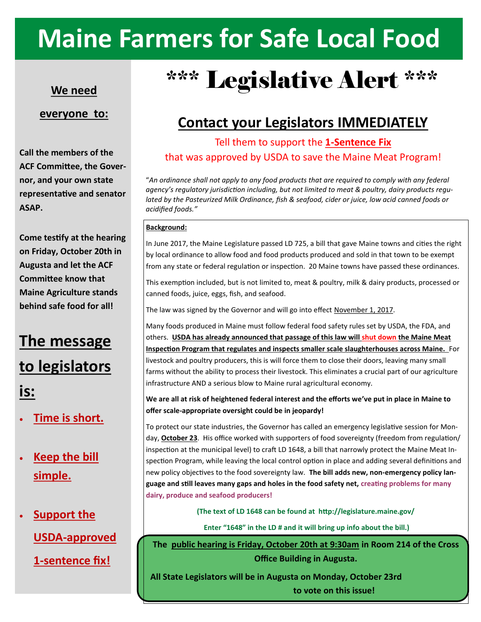# **Maine Farmers for Safe Local Food**

#### **We need**

#### **everyone to:**

**Call the members of the ACF Committee, the Governor, and your own state representative and senator ASAP.**

**Come testify at the hearing on Friday, October 20th in Augusta and let the ACF Committee know that Maine Agriculture stands behind safe food for all!**

### **The message**

# **to legislators is:**

- **Time is short.**
- **Keep the bill simple.**

## • **Support the USDA-approved 1-sentence fix!**

# \*\*\* Legislative Alert \*\*\*

### **Contact your Legislators IMMEDIATELY**

#### Tell them to support the **1-Sentence Fix**  that was approved by USDA to save the Maine Meat Program!

"*An ordinance shall not apply to any food products that are required to comply with any federal agency's regulatory jurisdiction including, but not limited to meat & poultry, dairy products regulated by the Pasteurized Milk Ordinance, fish & seafood, cider or juice, low acid canned foods or acidified foods."*

#### **Background:**

In June 2017, the Maine Legislature passed LD 725, a bill that gave Maine towns and cities the right by local ordinance to allow food and food products produced and sold in that town to be exempt from any state or federal regulation or inspection. 20 Maine towns have passed these ordinances.

This exemption included, but is not limited to, meat & poultry, milk & dairy products, processed or canned foods, juice, eggs, fish, and seafood.

The law was signed by the Governor and will go into effect November 1, 2017.

Many foods produced in Maine must follow federal food safety rules set by USDA, the FDA, and others. **USDA has already announced that passage of this law will shut down the Maine Meat Inspection Program that regulates and inspects smaller scale slaughterhouses across Maine.** For livestock and poultry producers, this is will force them to close their doors, leaving many small farms without the ability to process their livestock. This eliminates a crucial part of our agriculture infrastructure AND a serious blow to Maine rural agricultural economy.

**We are all at risk of heightened federal interest and the efforts we've put in place in Maine to offer scale-appropriate oversight could be in jeopardy!**

To protect our state industries, the Governor has called an emergency legislative session for Monday, **October 23**. His office worked with supporters of food sovereignty (freedom from regulation/ inspection at the municipal level) to craft LD 1648, a bill that narrowly protect the Maine Meat Inspection Program, while leaving the local control option in place and adding several definitions and new policy objectives to the food sovereignty law. **The bill adds new, non-emergency policy language and still leaves many gaps and holes in the food safety net, creating problems for many dairy, produce and seafood producers!** 

**(The text of LD 1648 can be found at http://legislature.maine.gov/** 

**Enter "1648" in the LD # and it will bring up info about the bill.)**

**The public hearing is Friday, October 20th at 9:30am in Room 214 of the Cross Office Building in Augusta.** 

**All State Legislators will be in Augusta on Monday, October 23rd to vote on this issue!**